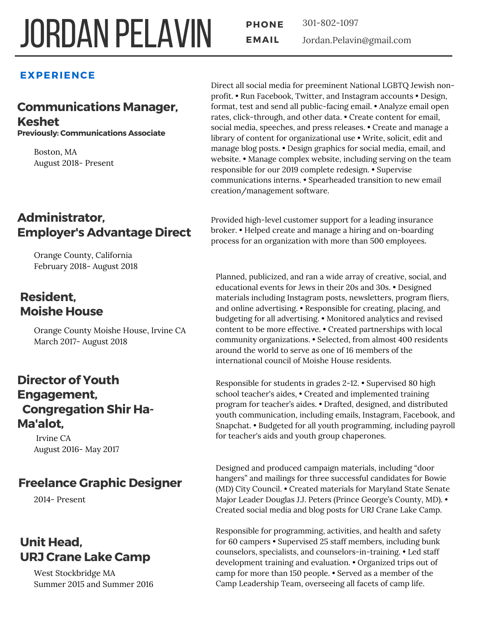# **JORDAN PELAVIN FRONE**

**PHONE** 301-802-1097 Jordan.Pelavin@gmail.com

#### **EXPERIENCE**

# **Communications Manager, Keshet**

**Previously: Communications Associate**

Boston, MA August 2018- Present

# **Administrator, Employer's Advantage Direct**

Orange County, California February 2018- August 2018

# **Resident, Moishe House**

Orange County Moishe House, Irvine CA March 2017- August 2018

### **Director of Youth Engagement, Congregation Shir Ha-Ma'alot,**

Irvine CA August 2016- May 2017

# **Freelance Graphic Designer**

2014- Present

# **Unit Head, URJ Crane Lake Camp**

West Stockbridge MA Summer 2015 and Summer 2016 Direct all social media for preeminent National LGBTQ Jewish nonprofit. • Run Facebook, Twitter, and Instagram accounts • Design, format, test and send all public-facing email. • Analyze email open rates, click-through, and other data. • Create content for email, social media, speeches, and press releases. • Create and manage a library of content for organizational use • Write, solicit, edit and manage blog posts. • Design graphics for social media, email, and website. • Manage complex website, including serving on the team responsible for our 2019 complete redesign. • Supervise communications interns. • Spearheaded transition to new email creation/management software.

Provided high-level customer support for a leading insurance broker. • Helped create and manage a hiring and on-boarding process for an organization with more than 500 employees.

Planned, publicized, and ran a wide array of creative, social, and educational events for Jews in their 20s and 30s. • Designed materials including Instagram posts, newsletters, program fliers, and online advertising. • Responsible for creating, placing, and budgeting for all advertising. • Monitored analytics and revised content to be more effective. • Created partnerships with local community organizations. • Selected, from almost 400 residents around the world to serve as one of 16 members of the international council of Moishe House residents.

Responsible for students in grades 2-12. • Supervised 80 high school teacher's aides, • Created and implemented training program for teacher's aides. • Drafted, designed, and distributed youth communication, including emails, Instagram, Facebook, and Snapchat. • Budgeted for all youth programming, including payroll for teacher's aids and youth group chaperones.

Designed and produced campaign materials, including "door hangers" and mailings for three successful candidates for Bowie (MD) City Council. • Created materials for Maryland State Senate Major Leader Douglas J.J. Peters (Prince George's County, MD). • Created social media and blog posts for URJ Crane Lake Camp.

Responsible for programming, activities, and health and safety for 60 campers • Supervised 25 staff members, including bunk counselors, specialists, and counselors-in-training. • Led staff development training and evaluation. • Organized trips out of camp for more than 150 people. • Served as a member of the Camp Leadership Team, overseeing all facets of camp life.